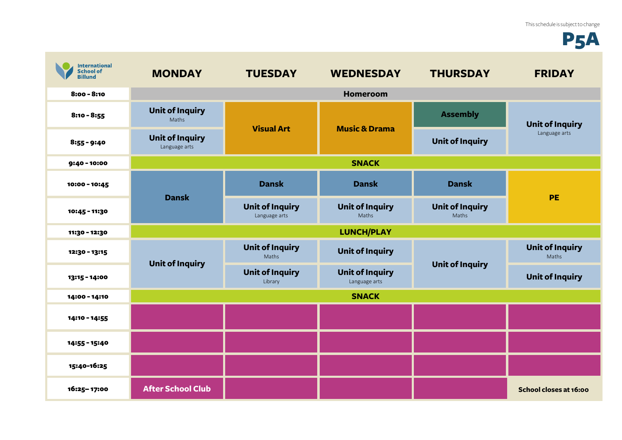## **P5A**

| <b>International</b><br><b>School of</b><br><b>Billund</b> | <b>MONDAY</b>                           | <b>TUESDAY</b>                          | <b>WEDNESDAY</b>                        | <b>THURSDAY</b>                 | <b>FRIDAY</b>                           |
|------------------------------------------------------------|-----------------------------------------|-----------------------------------------|-----------------------------------------|---------------------------------|-----------------------------------------|
| $8:00 - 8:10$                                              |                                         |                                         | <b>Homeroom</b>                         |                                 |                                         |
| $8:10 - 8:55$                                              | <b>Unit of Inquiry</b><br>Maths         | <b>Visual Art</b>                       | <b>Music &amp; Drama</b>                | <b>Assembly</b>                 | <b>Unit of Inquiry</b><br>Language arts |
| $8:55 - 9:40$                                              | <b>Unit of Inquiry</b><br>Language arts |                                         |                                         | <b>Unit of Inquiry</b>          |                                         |
| 9:40 - 10:00                                               | <b>SNACK</b>                            |                                         |                                         |                                 |                                         |
| 10:00 - 10:45                                              | <b>Dansk</b>                            | <b>Dansk</b>                            | <b>Dansk</b>                            | <b>Dansk</b>                    | <b>PE</b>                               |
| 10:45 - 11:30                                              |                                         | <b>Unit of Inquiry</b><br>Language arts | <b>Unit of Inquiry</b><br>Maths         | <b>Unit of Inquiry</b><br>Maths |                                         |
| 11:30 - 12:30                                              |                                         |                                         | <b>LUNCH/PLAY</b>                       |                                 |                                         |
| 12:30 - 13:15                                              | <b>Unit of Inquiry</b>                  | <b>Unit of Inquiry</b><br>Maths         | <b>Unit of Inquiry</b>                  | <b>Unit of Inquiry</b>          | <b>Unit of Inquiry</b><br>Maths         |
| 13:15 - 14:00                                              |                                         | <b>Unit of Inquiry</b><br>Library       | <b>Unit of Inquiry</b><br>Language arts |                                 | <b>Unit of Inquiry</b>                  |
| 14:00 - 14:10                                              |                                         |                                         | <b>SNACK</b>                            |                                 |                                         |
| 14:10 - 14:55                                              |                                         |                                         |                                         |                                 |                                         |
| 14:55 - 15:40                                              |                                         |                                         |                                         |                                 |                                         |
| 15:40-16:25                                                |                                         |                                         |                                         |                                 |                                         |
| 16:25-17:00                                                | <b>After School Club</b>                |                                         |                                         |                                 | School closes at 16:00                  |